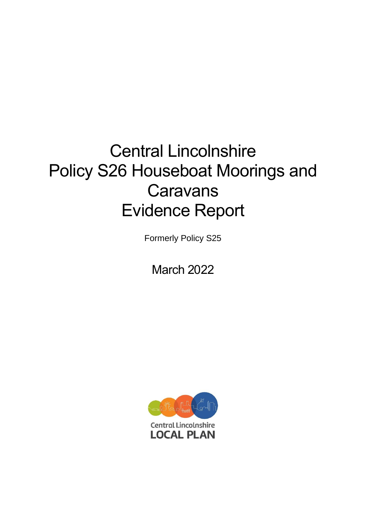# Central Lincolnshire Policy S26 Houseboat Moorings and **Caravans** Evidence Report

Formerly Policy S25

March 2022

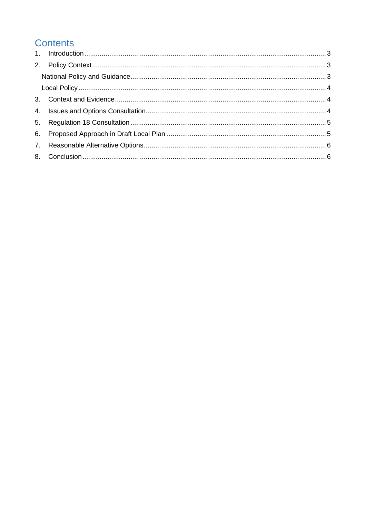# **Contents**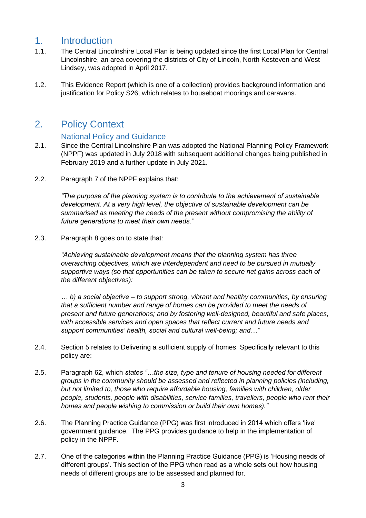# <span id="page-2-0"></span>1. Introduction

- 1.1. The Central Lincolnshire Local Plan is being updated since the first Local Plan for Central Lincolnshire, an area covering the districts of City of Lincoln, North Kesteven and West Lindsey, was adopted in April 2017.
- 1.2. This Evidence Report (which is one of a collection) provides background information and justification for Policy S26, which relates to houseboat moorings and caravans.

# <span id="page-2-1"></span>2. Policy Context

#### National Policy and Guidance

- <span id="page-2-2"></span>2.1. Since the Central Lincolnshire Plan was adopted the National Planning Policy Framework (NPPF) was updated in July 2018 with subsequent additional changes being published in February 2019 and a further update in July 2021.
- 2.2. Paragraph 7 of the NPPF explains that:

*"The purpose of the planning system is to contribute to the achievement of sustainable development. At a very high level, the objective of sustainable development can be summarised as meeting the needs of the present without compromising the ability of future generations to meet their own needs."*

2.3. Paragraph 8 goes on to state that:

*"Achieving sustainable development means that the planning system has three overarching objectives, which are interdependent and need to be pursued in mutually supportive ways (so that opportunities can be taken to secure net gains across each of the different objectives):*

*… b) a social objective – to support strong, vibrant and healthy communities, by ensuring that a sufficient number and range of homes can be provided to meet the needs of present and future generations; and by fostering well-designed, beautiful and safe places, with accessible services and open spaces that reflect current and future needs and support communities' health, social and cultural well-being; and…"*

- 2.4. Section 5 relates to Delivering a sufficient supply of homes. Specifically relevant to this policy are:
- 2.5. Paragraph 62, which *states "…the size, type and tenure of housing needed for different groups in the community should be assessed and reflected in planning policies (including, but not limited to, those who require affordable housing, families with children, older people, students, people with disabilities, service families, travellers, people who rent their homes and people wishing to commission or build their own homes)."*
- 2.6. The Planning Practice Guidance (PPG) was first introduced in 2014 which offers 'live' government guidance. The PPG provides guidance to help in the implementation of policy in the NPPF.
- 2.7. One of the categories within the Planning Practice Guidance (PPG) is 'Housing needs of different groups'. This section of the PPG when read as a whole sets out how housing needs of different groups are to be assessed and planned for.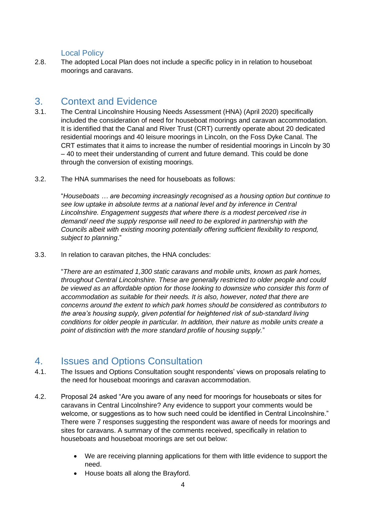#### Local Policy

<span id="page-3-0"></span>2.8. The adopted Local Plan does not include a specific policy in in relation to houseboat moorings and caravans.

#### <span id="page-3-1"></span>3. Context and Evidence

- 3.1. The Central Lincolnshire Housing Needs Assessment (HNA) (April 2020) specifically included the consideration of need for houseboat moorings and caravan accommodation. It is identified that the Canal and River Trust (CRT) currently operate about 20 dedicated residential moorings and 40 leisure moorings in Lincoln, on the Foss Dyke Canal. The CRT estimates that it aims to increase the number of residential moorings in Lincoln by 30 – 40 to meet their understanding of current and future demand. This could be done through the conversion of existing moorings.
- 3.2. The HNA summarises the need for houseboats as follows:

"*Houseboats … are becoming increasingly recognised as a housing option but continue to see low uptake in absolute terms at a national level and by inference in Central Lincolnshire. Engagement suggests that where there is a modest perceived rise in demand/ need the supply response will need to be explored in partnership with the Councils albeit with existing mooring potentially offering sufficient flexibility to respond, subject to planning*."

3.3. In relation to caravan pitches, the HNA concludes:

"*There are an estimated 1,300 static caravans and mobile units, known as park homes, throughout Central Lincolnshire. These are generally restricted to older people and could be viewed as an affordable option for those looking to downsize who consider this form of accommodation as suitable for their needs. It is also, however, noted that there are concerns around the extent to which park homes should be considered as contributors to the area's housing supply, given potential for heightened risk of sub-standard living conditions for older people in particular. In addition, their nature as mobile units create a point of distinction with the more standard profile of housing supply.*"

# <span id="page-3-2"></span>4. Issues and Options Consultation

- 4.1. The Issues and Options Consultation sought respondents' views on proposals relating to the need for houseboat moorings and caravan accommodation.
- 4.2. Proposal 24 asked "Are you aware of any need for moorings for houseboats or sites for caravans in Central Lincolnshire? Any evidence to support your comments would be welcome, or suggestions as to how such need could be identified in Central Lincolnshire." There were 7 responses suggesting the respondent was aware of needs for moorings and sites for caravans. A summary of the comments received, specifically in relation to houseboats and houseboat moorings are set out below:
	- We are receiving planning applications for them with little evidence to support the need.
	- House boats all along the Brayford.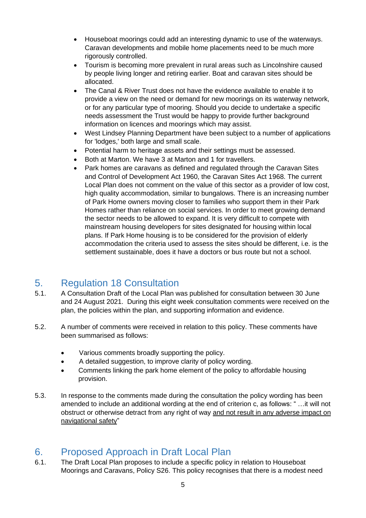- Houseboat moorings could add an interesting dynamic to use of the waterways. Caravan developments and mobile home placements need to be much more rigorously controlled.
- Tourism is becoming more prevalent in rural areas such as Lincolnshire caused by people living longer and retiring earlier. Boat and caravan sites should be allocated.
- The Canal & River Trust does not have the evidence available to enable it to provide a view on the need or demand for new moorings on its waterway network, or for any particular type of mooring. Should you decide to undertake a specific needs assessment the Trust would be happy to provide further background information on licences and moorings which may assist.
- West Lindsey Planning Department have been subject to a number of applications for 'lodges,' both large and small scale.
- Potential harm to heritage assets and their settings must be assessed.
- Both at Marton. We have 3 at Marton and 1 for travellers.
- Park homes are caravans as defined and regulated through the Caravan Sites and Control of Development Act 1960, the Caravan Sites Act 1968. The current Local Plan does not comment on the value of this sector as a provider of low cost, high quality accommodation, similar to bungalows. There is an increasing number of Park Home owners moving closer to families who support them in their Park Homes rather than reliance on social services. In order to meet growing demand the sector needs to be allowed to expand. It is very difficult to compete with mainstream housing developers for sites designated for housing within local plans. If Park Home housing is to be considered for the provision of elderly accommodation the criteria used to assess the sites should be different, i.e. is the settlement sustainable, does it have a doctors or bus route but not a school.

## <span id="page-4-0"></span>5. Regulation 18 Consultation

- 5.1. A Consultation Draft of the Local Plan was published for consultation between 30 June and 24 August 2021. During this eight week consultation comments were received on the plan, the policies within the plan, and supporting information and evidence.
- 5.2. A number of comments were received in relation to this policy. These comments have been summarised as follows:
	- Various comments broadly supporting the policy.
	- A detailed suggestion, to improve clarity of policy wording.
	- Comments linking the park home element of the policy to affordable housing provision.
- 5.3. In response to the comments made during the consultation the policy wording has been amended to include an additional wording at the end of criterion c, as follows: " …it will not obstruct or otherwise detract from any right of way and not result in any adverse impact on navigational safety"

## <span id="page-4-1"></span>6. Proposed Approach in Draft Local Plan

6.1. The Draft Local Plan proposes to include a specific policy in relation to Houseboat Moorings and Caravans, Policy S26. This policy recognises that there is a modest need